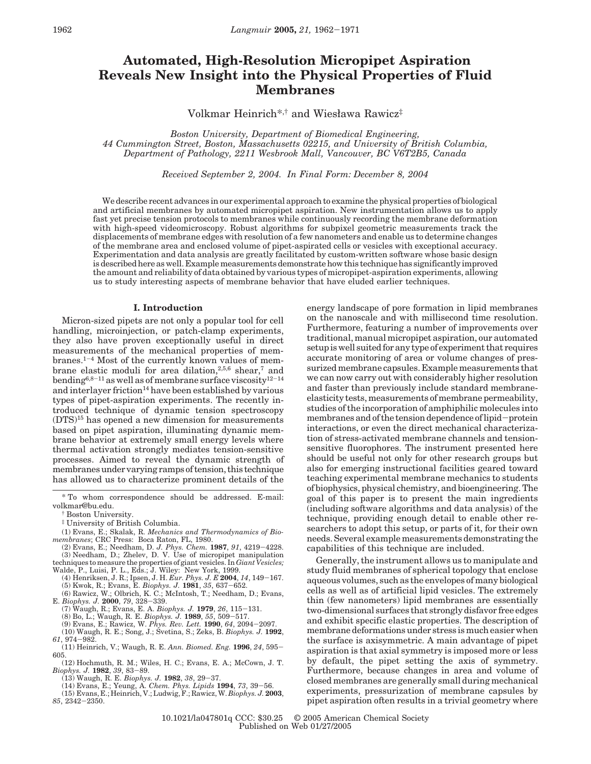# **Automated, High-Resolution Micropipet Aspiration Reveals New Insight into the Physical Properties of Fluid Membranes**

Volkmar Heinrich\*,† and Wiesława Rawicz‡

*Boston University, Department of Biomedical Engineering, 44 Cummington Street, Boston, Massachusetts 02215, and University of British Columbia, Department of Pathology, 2211 Wesbrook Mall, Vancouver, BC V6T2B5, Canada*

*Received September 2, 2004. In Final Form: December 8, 2004*

We describe recent advances in our experimental approach to examine the physical properties of biological and artificial membranes by automated micropipet aspiration. New instrumentation allows us to apply fast yet precise tension protocols to membranes while continuously recording the membrane deformation with high-speed videomicroscopy. Robust algorithms for subpixel geometric measurements track the displacements of membrane edges with resolution of a few nanometers and enable us to determine changes of the membrane area and enclosed volume of pipet-aspirated cells or vesicles with exceptional accuracy. Experimentation and data analysis are greatly facilitated by custom-written software whose basic design is described here as well. Example measurements demonstrate how this technique has significantly improved the amount and reliability of data obtained by various types of micropipet-aspiration experiments, allowing us to study interesting aspects of membrane behavior that have eluded earlier techniques.

#### **I. Introduction**

Micron-sized pipets are not only a popular tool for cell handling, microinjection, or patch-clamp experiments, they also have proven exceptionally useful in direct measurements of the mechanical properties of membranes.1-<sup>4</sup> Most of the currently known values of membrane elastic moduli for area dilation,<sup>2,5,6</sup> shear,<sup>7</sup> and bending<sup>6,8-11</sup> as well as of membrane surface viscosity<sup>12-14</sup> and interlayer friction<sup>14</sup> have been established by various types of pipet-aspiration experiments. The recently introduced technique of dynamic tension spectroscopy  $(DTS)^{15}$  has opened a new dimension for measurements based on pipet aspiration, illuminating dynamic membrane behavior at extremely small energy levels where thermal activation strongly mediates tension-sensitive processes. Aimed to reveal the dynamic strength of membranes under varying ramps of tension, this technique has allowed us to characterize prominent details of the

‡ University of British Columbia.

- (1) Evans, E.; Skalak, R. *Mechanics and Thermodynamics of Biomembranes*; CRC Press: Boca Raton, FL, 1980.
- (2) Evans, E.; Needham, D. *J. Phys. Chem.* **<sup>1987</sup>**, *<sup>91</sup>*, 4219-4228. (3) Needham, D.; Zhelev, D. V. Use of micropipet manipulation techniques to measure the properties of giant vesicles. In *Giant Vesicles;*
- Walde, P., Luisi, P. L., Eds.; J. Wiley: New York, 1999.<br>
(4) Henriksen, J. R.; Ipsen, J. H. *Eur. Phys. J. E* 2004, *14*, 149–167.<br>
(5) Kwok R.: Evans. E. *Riophys. J.* 1981–35-637–652.
- 
- (5) Kwok, R.; Evans, E. *Biophys. J.* **<sup>1981</sup>**, *<sup>35</sup>*, 637-652. (6) Rawicz, W.; Olbrich, K. C.; McIntosh, T.; Needham, D.; Evans, E. *Biophys. J.* **<sup>2000</sup>**, *<sup>79</sup>*, 328-339.
	-
	-
	- (7) Waugh, R.; Evans, E. A. *Biophys. J.* **1979**, 26, 115–131.<br>(8) Bo, L.; Waugh, R. E. *Biophys. J.* **1989**, 55, 509–517.<br>(9) Evans, E.; Rawicz, W. *Phys. Rev. Lett.* **1990,** 64, 2094–2097.<br>(10) Waugh, R. E.: Song, J.: Sy (10) Waugh, R. E.; Song, J.; Svetina, S.; Zeks, B. *Biophys. J.* **1992**,
- *<sup>61</sup>*, 974-982.
- (11) Heinrich, V.; Waugh, R. E. *Ann. Biomed. Eng.* **<sup>1996</sup>**, *<sup>24</sup>*, 595- 605.
- $(12)$  Hochmuth, R. M.; Wiles, H. C.; Evans, E. A.; McCown, J. T. Biophys. J. 1982, 39, 83–89.
	-
- *Biophys. J.* **<sup>1982</sup>**, *<sup>39</sup>*, 83-89. (13) Waugh, R. E. *Biophys. J.* **<sup>1982</sup>**, *<sup>38</sup>*, 29-37. (14) Evans, E.; Yeung, A. *Chem. Phys. Lipids* **<sup>1994</sup>**, *<sup>73</sup>*, 39-56.

(15) Evans, E.; Heinrich, V.; Ludwig, F.; Rawicz, W. *Biophys. J.* **2003**, *<sup>85</sup>*, 2342-2350.

energy landscape of pore formation in lipid membranes on the nanoscale and with millisecond time resolution. Furthermore, featuring a number of improvements over traditional, manual micropipet aspiration, our automated setup is well suited for any type of experiment that requires accurate monitoring of area or volume changes of pressurized membrane capsules. Example measurements that we can now carry out with considerably higher resolution and faster than previously include standard membraneelasticity tests, measurements of membrane permeability, studies of the incorporation of amphiphilic molecules into membranes and of the tension dependence of lipid-protein interactions, or even the direct mechanical characterization of stress-activated membrane channels and tensionsensitive fluorophores. The instrument presented here should be useful not only for other research groups but also for emerging instructional facilities geared toward teaching experimental membrane mechanics to students of biophysics, physical chemistry, and bioengineering. The goal of this paper is to present the main ingredients (including software algorithms and data analysis) of the technique, providing enough detail to enable other researchers to adopt this setup, or parts of it, for their own needs. Several example measurements demonstrating the capabilities of this technique are included.

Generally, the instrument allows us to manipulate and study fluid membranes of spherical topology that enclose aqueous volumes, such as the envelopes of many biological cells as well as of artificial lipid vesicles. The extremely thin (few nanometers) lipid membranes are essentially two-dimensional surfaces that strongly disfavor free edges and exhibit specific elastic properties. The description of membrane deformations under stress is much easier when the surface is axisymmetric. A main advantage of pipet aspiration is that axial symmetry is imposed more or less by default, the pipet setting the axis of symmetry. Furthermore, because changes in area and volume of closed membranes are generally small during mechanical experiments, pressurization of membrane capsules by pipet aspiration often results in a trivial geometry where

<sup>\*</sup> To whom correspondence should be addressed. E-mail: volkmar@bu.edu.

<sup>†</sup> Boston University.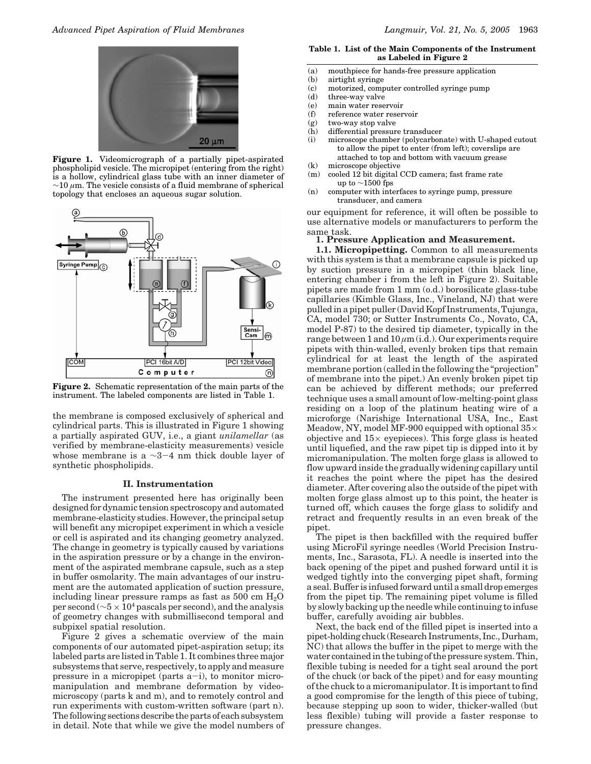

**Figure 1.** Videomicrograph of a partially pipet-aspirated phospholipid vesicle. The micropipet (entering from the right) is a hollow, cylindrical glass tube with an inner diameter of ∼10 *µ*m. The vesicle consists of a fluid membrane of spherical topology that encloses an aqueous sugar solution.



**Figure 2.** Schematic representation of the main parts of the instrument. The labeled components are listed in Table 1.

the membrane is composed exclusively of spherical and cylindrical parts. This is illustrated in Figure 1 showing a partially aspirated GUV, i.e., a giant *unilamellar* (as verified by membrane-elasticity measurements) vesicle whose membrane is a  $\sim$ 3-4 nm thick double layer of synthetic phospholipids.

## **II. Instrumentation**

The instrument presented here has originally been designed for dynamic tension spectroscopy and automated membrane-elasticity studies. However, the principal setup will benefit any micropipet experiment in which a vesicle or cell is aspirated and its changing geometry analyzed. The change in geometry is typically caused by variations in the aspiration pressure or by a change in the environment of the aspirated membrane capsule, such as a step in buffer osmolarity. The main advantages of our instrument are the automated application of suction pressure, including linear pressure ramps as fast as  $500 \text{ cm H}_2\text{O}$ per second ( $\sim 5 \times 10^4$  pascals per second), and the analysis of geometry changes with submillisecond temporal and subpixel spatial resolution.

Figure 2 gives a schematic overview of the main components of our automated pipet-aspiration setup; its labeled parts are listed in Table 1. It combines three major subsystems that serve, respectively, to apply and measure pressure in a micropipet (parts  $a-i$ ), to monitor micromanipulation and membrane deformation by videomicroscopy (parts k and m), and to remotely control and run experiments with custom-written software (part n). The following sections describe the parts of each subsystem in detail. Note that while we give the model numbers of

## **Table 1. List of the Main Components of the Instrument as Labeled in Figure 2**

- (a) mouthpiece for hands-free pressure application
- (b) airtight syringe
- (c) motorized, computer controlled syringe pump
- three-way valve
- (e) main water reservoir
- (f) reference water reservoir<br>(g) two-way stop valve two-way stop valve
- (h) differential pressure transducer
- (i) microscope chamber (polycarbonate) with U-shaped cutout to allow the pipet to enter (from left); coverslips are attached to top and bottom with vacuum grease
- (k) microscope objective
- (m) cooled 12 bit digital CCD camera; fast frame rate up to  $\sim$ 1500 fps
- (n) computer with interfaces to syringe pump, pressure transducer, and camera

our equipment for reference, it will often be possible to use alternative models or manufacturers to perform the same task.

## **1. Pressure Application and Measurement.**

**1.1. Micropipetting.** Common to all measurements with this system is that a membrane capsule is picked up by suction pressure in a micropipet (thin black line, entering chamber i from the left in Figure 2). Suitable pipets are made from 1 mm (o.d.) borosilicate glass-tube capillaries (Kimble Glass, Inc., Vineland, NJ) that were pulled in a pipet puller (David Kopf Instruments, Tujunga, CA, model 730; or Sutter Instruments Co., Novato, CA, model P-87) to the desired tip diameter, typically in the range between  $1$  and  $10 \mu m$  (i.d.). Our experiments require pipets with thin-walled, evenly broken tips that remain cylindrical for at least the length of the aspirated membrane portion (called in the following the "projection" of membrane into the pipet.) An evenly broken pipet tip can be achieved by different methods; our preferred technique uses a small amount of low-melting-point glass residing on a loop of the platinum heating wire of a microforge (Narishige International USA, Inc., East Meadow, NY, model MF-900 equipped with optional  $35\times$ objective and  $15\times$  eyepieces). This forge glass is heated until liquefied, and the raw pipet tip is dipped into it by micromanipulation. The molten forge glass is allowed to flow upward inside the gradually widening capillary until it reaches the point where the pipet has the desired diameter. After covering also the outside of the pipet with molten forge glass almost up to this point, the heater is turned off, which causes the forge glass to solidify and retract and frequently results in an even break of the pipet.

The pipet is then backfilled with the required buffer using MicroFil syringe needles (World Precision Instruments, Inc., Sarasota, FL). A needle is inserted into the back opening of the pipet and pushed forward until it is wedged tightly into the converging pipet shaft, forming a seal. Buffer is infused forward until a small drop emerges from the pipet tip. The remaining pipet volume is filled by slowly backing up the needle while continuing to infuse buffer, carefully avoiding air bubbles.

Next, the back end of the filled pipet is inserted into a pipet-holding chuck (Research Instruments, Inc., Durham, NC) that allows the buffer in the pipet to merge with the water contained in the tubing of the pressure system. Thin, flexible tubing is needed for a tight seal around the port of the chuck (or back of the pipet) and for easy mounting of the chuck to a micromanipulator. It is important to find a good compromise for the length of this piece of tubing, because stepping up soon to wider, thicker-walled (but less flexible) tubing will provide a faster response to pressure changes.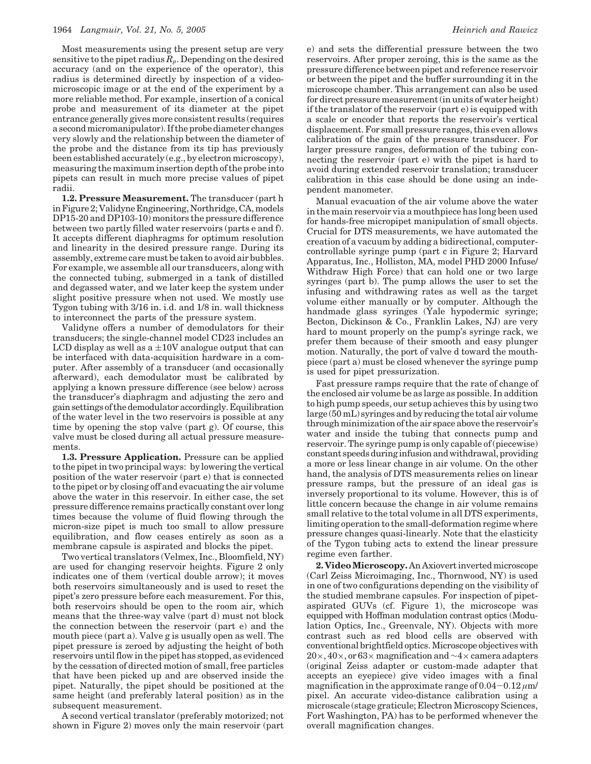Most measurements using the present setup are very sensitive to the pipet radius  $R_p$ . Depending on the desired accuracy (and on the experience of the operator), this radius is determined directly by inspection of a videomicroscopic image or at the end of the experiment by a more reliable method. For example, insertion of a conical probe and measurement of its diameter at the pipet entrance generally gives more consistent results (requires a second micromanipulator). If the probe diameter changes very slowly and the relationship between the diameter of the probe and the distance from its tip has previously been established accurately (e.g., by electron microscopy), measuring the maximum insertion depth of the probe into pipets can result in much more precise values of pipet radii.

**1.2. Pressure Measurement.** The transducer (part h in Figure 2; Validyne Engineering, Northridge, CA, models DP15-20 and DP103-10) monitors the pressure difference between two partly filled water reservoirs (parts e and f). It accepts different diaphragms for optimum resolution and linearity in the desired pressure range. During its assembly, extreme care must be taken to avoid air bubbles. For example, we assemble all our transducers, along with the connected tubing, submerged in a tank of distilled and degassed water, and we later keep the system under slight positive pressure when not used. We mostly use Tygon tubing with 3/16 in. i.d. and 1/8 in. wall thickness to interconnect the parts of the pressure system.

Validyne offers a number of demodulators for their transducers; the single-channel model CD23 includes an LCD display as well as a  $\pm 10V$  analogue output that can be interfaced with data-acquisition hardware in a computer. After assembly of a transducer (and occasionally afterward), each demodulator must be calibrated by applying a known pressure difference (see below) across the transducer's diaphragm and adjusting the zero and gainsettingsofthedemodulatoraccordingly.Equilibration of the water level in the two reservoirs is possible at any time by opening the stop valve (part g). Of course, this valve must be closed during all actual pressure measurements.

**1.3. Pressure Application.** Pressure can be applied to the pipet in two principal ways: by lowering the vertical position of the water reservoir (part e) that is connected to the pipet or by closing off and evacuating the air volume above the water in this reservoir. In either case, the set pressure difference remains practically constant over long times because the volume of fluid flowing through the micron-size pipet is much too small to allow pressure equilibration, and flow ceases entirely as soon as a membrane capsule is aspirated and blocks the pipet.

Two vertical translators (Velmex, Inc., Bloomfield, NY) are used for changing reservoir heights. Figure 2 only indicates one of them (vertical double arrow); it moves both reservoirs simultaneously and is used to reset the pipet's zero pressure before each measurement. For this, both reservoirs should be open to the room air, which means that the three-way valve (part d) must not block the connection between the reservoir (part e) and the mouth piece (part a). Valve g is usually open as well. The pipet pressure is zeroed by adjusting the height of both reservoirs until flow in the pipet has stopped, as evidenced by the cessation of directed motion of small, free particles that have been picked up and are observed inside the pipet. Naturally, the pipet should be positioned at the same height (and preferably lateral position) as in the subsequent measurement.

A second vertical translator (preferably motorized; not shown in Figure 2) moves only the main reservoir (part e) and sets the differential pressure between the two reservoirs. After proper zeroing, this is the same as the pressure difference between pipet and reference reservoir or between the pipet and the buffer surrounding it in the microscope chamber. This arrangement can also be used for direct pressure measurement (in units of water height) if the translator of the reservoir (part e) is equipped with a scale or encoder that reports the reservoir's vertical displacement. For small pressure ranges, this even allows calibration of the gain of the pressure transducer. For larger pressure ranges, deformation of the tubing connecting the reservoir (part e) with the pipet is hard to avoid during extended reservoir translation; transducer calibration in this case should be done using an independent manometer.

Manual evacuation of the air volume above the water in the main reservoir via a mouthpiece has long been used for hands-free micropipet manipulation of small objects. Crucial for DTS measurements, we have automated the creation of a vacuum by adding a bidirectional, computercontrollable syringe pump (part c in Figure 2; Harvard Apparatus, Inc., Holliston, MA, model PHD 2000 Infuse/ Withdraw High Force) that can hold one or two large syringes (part b). The pump allows the user to set the infusing and withdrawing rates as well as the target volume either manually or by computer. Although the handmade glass syringes (Yale hypodermic syringe; Becton, Dickinson & Co., Franklin Lakes, NJ) are very hard to mount properly on the pump's syringe rack, we prefer them because of their smooth and easy plunger motion. Naturally, the port of valve d toward the mouthpiece (part a) must be closed whenever the syringe pump is used for pipet pressurization.

Fast pressure ramps require that the rate of change of the enclosed air volume be as large as possible. In addition to high pump speeds, our setup achieves this by using two large (50 mL) syringes and by reducing the total air volume through minimization of the air space above the reservoir's water and inside the tubing that connects pump and reservoir. The syringe pump is only capable of (piecewise) constant speeds during infusion and withdrawal, providing a more or less linear change in air volume. On the other hand, the analysis of DTS measurements relies on linear pressure ramps, but the pressure of an ideal gas is inversely proportional to its volume. However, this is of little concern because the change in air volume remains small relative to the total volume in all DTS experiments, limiting operation to the small-deformation regime where pressure changes quasi-linearly. Note that the elasticity of the Tygon tubing acts to extend the linear pressure regime even farther.

**2. Video Microscopy.** An Axiovert inverted microscope (Carl Zeiss Microimaging, Inc., Thornwood, NY) is used in one of two configurations depending on the visibility of the studied membrane capsules. For inspection of pipetaspirated GUVs (cf. Figure 1), the microscope was equipped with Hoffman modulation contrast optics (Modulation Optics, Inc., Greenvale, NY). Objects with more contrast such as red blood cells are observed with conventional brightfield optics. Microscope objectives with 20×, 40×, or 63× magnification and ∼4× camera adapters (original Zeiss adapter or custom-made adapter that accepts an eyepiece) give video images with a final magnification in the approximate range of 0.04-0.12 *<sup>µ</sup>*m/ pixel. An accurate video-distance calibration using a microscale (stage graticule; Electron Microscopy Sciences, Fort Washington, PA) has to be performed whenever the overall magnification changes.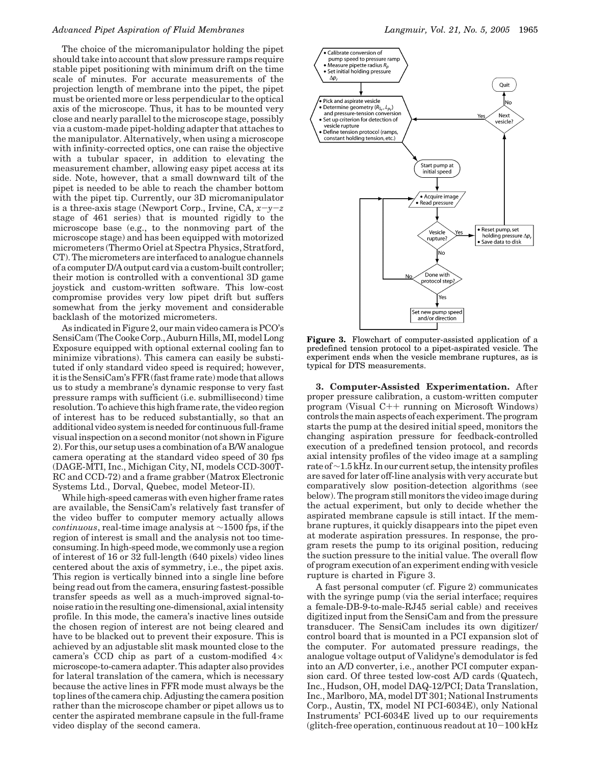## *Advanced Pipet Aspiration of Fluid Membranes Langmuir, Vol. 21, No. 5, 2005* 1965

The choice of the micromanipulator holding the pipet should take into account that slow pressure ramps require stable pipet positioning with minimum drift on the time scale of minutes. For accurate measurements of the projection length of membrane into the pipet, the pipet must be oriented more or less perpendicular to the optical axis of the microscope. Thus, it has to be mounted very close and nearly parallel to the microscope stage, possibly via a custom-made pipet-holding adapter that attaches to the manipulator. Alternatively, when using a microscope with infinity-corrected optics, one can raise the objective with a tubular spacer, in addition to elevating the measurement chamber, allowing easy pipet access at its side. Note, however, that a small downward tilt of the pipet is needed to be able to reach the chamber bottom with the pipet tip. Currently, our 3D micromanipulator is a three-axis stage (Newport Corp., Irvine, CA, *<sup>x</sup>*-*y*-*<sup>z</sup>* stage of 461 series) that is mounted rigidly to the microscope base (e.g., to the nonmoving part of the microscope stage) and has been equipped with motorized micrometers (Thermo Oriel at Spectra Physics, Stratford, CT). The micrometers are interfaced to analogue channels of a computer D/A output card via a custom-built controller; their motion is controlled with a conventional 3D game joystick and custom-written software. This low-cost compromise provides very low pipet drift but suffers somewhat from the jerky movement and considerable backlash of the motorized micrometers.

As indicated in Figure 2, our main video camera is PCO's SensiCam (The Cooke Corp., Auburn Hills, MI, model Long Exposure equipped with optional external cooling fan to minimize vibrations). This camera can easily be substituted if only standard video speed is required; however, it is the SensiCam's FFR (fast frame rate) mode that allows us to study a membrane's dynamic response to very fast pressure ramps with sufficient (i.e. submillisecond) time resolution. To achieve this high frame rate, the video region of interest has to be reduced substantially, so that an additional video system is needed for continuous full-frame visual inspection on a second monitor (not shown in Figure 2). For this, our setup uses a combination of a B/W analogue camera operating at the standard video speed of 30 fps (DAGE-MTI, Inc., Michigan City, NI, models CCD-300T-RC and CCD-72) and a frame grabber (Matrox Electronic Systems Ltd., Dorval, Quebec, model Meteor-II).

While high-speed cameras with even higher frame rates are available, the SensiCam's relatively fast transfer of the video buffer to computer memory actually allows *continuous*, real-time image analysis at ∼1500 fps, if the region of interest is small and the analysis not too timeconsuming. In high-speed mode, we commonly use a region of interest of 16 or 32 full-length (640 pixels) video lines centered about the axis of symmetry, i.e., the pipet axis. This region is vertically binned into a single line before being read out from the camera, ensuring fastest-possible transfer speeds as well as a much-improved signal-tonoise ratio in the resulting one-dimensional, axial intensity profile. In this mode, the camera's inactive lines outside the chosen region of interest are not being cleared and have to be blacked out to prevent their exposure. This is achieved by an adjustable slit mask mounted close to the camera's CCD chip as part of a custom-modified  $4\times$ microscope-to-camera adapter. This adapter also provides for lateral translation of the camera, which is necessary because the active lines in FFR mode must always be the top lines of the camera chip. Adjusting the camera position rather than the microscope chamber or pipet allows us to center the aspirated membrane capsule in the full-frame video display of the second camera.



**Figure 3.** Flowchart of computer-assisted application of a predefined tension protocol to a pipet-aspirated vesicle. The experiment ends when the vesicle membrane ruptures, as is typical for DTS measurements.

**3. Computer-Assisted Experimentation.** After proper pressure calibration, a custom-written computer program (Visual C++ running on Microsoft Windows) controls the main aspects of each experiment. The program starts the pump at the desired initial speed, monitors the changing aspiration pressure for feedback-controlled execution of a predefined tension protocol, and records axial intensity profiles of the video image at a sampling rate of∼1.5 kHz. In our current setup, the intensity profiles are saved for later off-line analysis with very accurate but comparatively slow position-detection algorithms (see below). The program still monitors the video image during the actual experiment, but only to decide whether the aspirated membrane capsule is still intact. If the membrane ruptures, it quickly disappears into the pipet even at moderate aspiration pressures. In response, the program resets the pump to its original position, reducing the suction pressure to the initial value. The overall flow of program execution of an experiment ending with vesicle rupture is charted in Figure 3.

A fast personal computer (cf. Figure 2) communicates with the syringe pump (via the serial interface; requires a female-DB-9-to-male-RJ45 serial cable) and receives digitized input from the SensiCam and from the pressure transducer. The SensiCam includes its own digitizer/ control board that is mounted in a PCI expansion slot of the computer. For automated pressure readings, the analogue voltage output of Validyne's demodulator is fed into an A/D converter, i.e., another PCI computer expansion card. Of three tested low-cost A/D cards (Quatech, Inc., Hudson, OH, model DAQ-12/PCI; Data Translation, Inc., Marlboro, MA, model DT 301; National Instruments Corp., Austin, TX, model NI PCI-6034E), only National Instruments' PCI-6034E lived up to our requirements  $(g$ litch-free operation, continuous readout at  $10-100$  kHz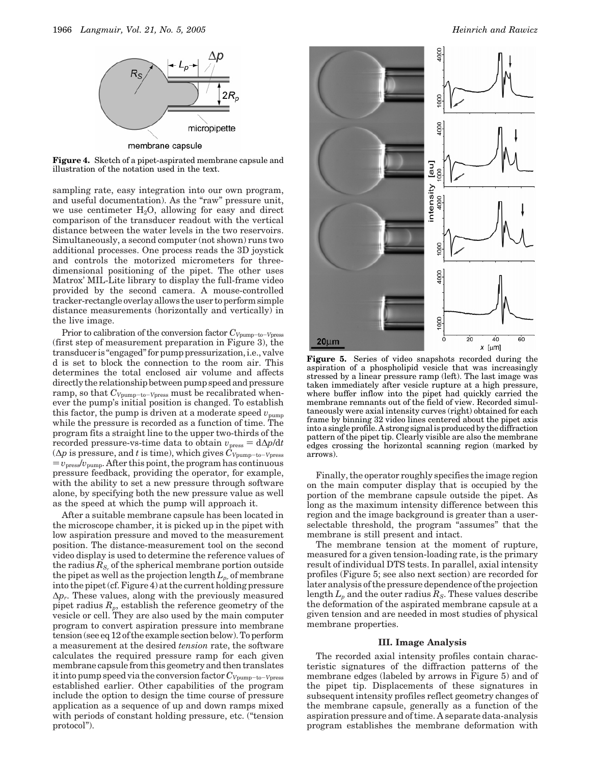

**Figure 4.** Sketch of a pipet-aspirated membrane capsule and illustration of the notation used in the text.

sampling rate, easy integration into our own program, and useful documentation). As the "raw" pressure unit, we use centimeter  $H_2O$ , allowing for easy and direct comparison of the transducer readout with the vertical distance between the water levels in the two reservoirs. Simultaneously, a second computer (not shown) runs two additional processes. One process reads the 3D joystick and controls the motorized micrometers for threedimensional positioning of the pipet. The other uses Matrox' MIL-Lite library to display the full-frame video provided by the second camera. A mouse-controlled tracker-rectangleoverlayallowstheusertoperformsimple distance measurements (horizontally and vertically) in the live image.

Prior to calibration of the conversion factor  $C_{V \text{pump-to-Vpress}}$ (first step of measurement preparation in Figure 3), the transducer is "engaged" for pump pressurization, i.e., valve d is set to block the connection to the room air. This determines the total enclosed air volume and affects directly the relationship between pump speed and pressure ramp, so that *CV*pump-to-*V*press must be recalibrated whenever the pump's initial position is changed. To establish this factor, the pump is driven at a moderate speed  $v_{\text{pump}}$ while the pressure is recorded as a function of time. The program fits a straight line to the upper two-thirds of the recorded pressure-vs-time data to obtain  $v_{\text{press}} = d\Delta p/dt$ ( $\Delta p$  is pressure, and *t* is time), which gives  $C_{V$ <sup>pump-to- $V$ press</sup>  $=v_{\text{press}}/v_{\text{pump}}$ . After this point, the program has continuous pressure feedback, providing the operator, for example, with the ability to set a new pressure through software alone, by specifying both the new pressure value as well as the speed at which the pump will approach it.

After a suitable membrane capsule has been located in the microscope chamber, it is picked up in the pipet with low aspiration pressure and moved to the measurement position. The distance-measurement tool on the second video display is used to determine the reference values of the radius  $R_{S_r}$  of the spherical membrane portion outside the pipet as well as the projection length  $L_{p_r}$  of membrane into the pipet (cf. Figure 4) at the current holding pressure ∆*pr*. These values, along with the previously measured pipet radius *Rp*, establish the reference geometry of the vesicle or cell. They are also used by the main computer program to convert aspiration pressure into membrane tension (see eq 12 of the example section below). To perform a measurement at the desired *tension* rate, the software calculates the required pressure ramp for each given membrane capsule from this geometry and then translates it into pump speed via the conversion factor *CV*pump-to-*V*press established earlier. Other capabilities of the program include the option to design the time course of pressure application as a sequence of up and down ramps mixed with periods of constant holding pressure, etc. ("tension protocol").



**Figure 5.** Series of video snapshots recorded during the aspiration of a phospholipid vesicle that was increasingly stressed by a linear pressure ramp (left). The last image was taken immediately after vesicle rupture at a high pressure, where buffer inflow into the pipet had quickly carried the membrane remnants out of the field of view. Recorded simultaneously were axial intensity curves (right) obtained for each frame by binning 32 video lines centered about the pipet axis into a single profile. A strong signal is produced by the diffraction pattern of the pipet tip. Clearly visible are also the membrane edges crossing the horizontal scanning region (marked by arrows).

Finally, the operator roughly specifies the image region on the main computer display that is occupied by the portion of the membrane capsule outside the pipet. As long as the maximum intensity difference between this region and the image background is greater than a userselectable threshold, the program "assumes" that the membrane is still present and intact.

The membrane tension at the moment of rupture, measured for a given tension-loading rate, is the primary result of individual DTS tests. In parallel, axial intensity profiles (Figure 5; see also next section) are recorded for later analysis of the pressure dependence of the projection length  $L_p$  and the outer radius  $R_s$ . These values describe the deformation of the aspirated membrane capsule at a given tension and are needed in most studies of physical membrane properties.

## **III. Image Analysis**

The recorded axial intensity profiles contain characteristic signatures of the diffraction patterns of the membrane edges (labeled by arrows in Figure 5) and of the pipet tip. Displacements of these signatures in subsequent intensity profiles reflect geometry changes of the membrane capsule, generally as a function of the aspiration pressure and of time. A separate data-analysis program establishes the membrane deformation with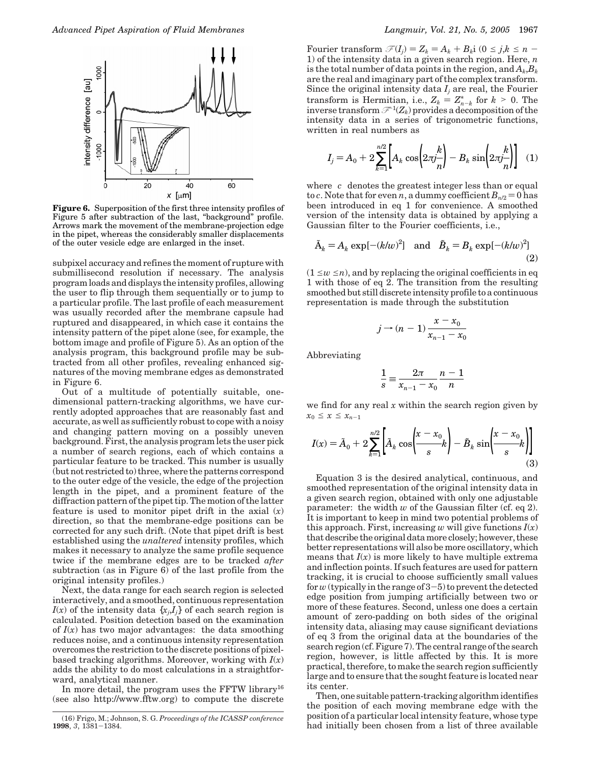

**Figure 6.** Superposition of the first three intensity profiles of Figure 5 after subtraction of the last, "background" profile. Arrows mark the movement of the membrane-projection edge in the pipet, whereas the considerably smaller displacements of the outer vesicle edge are enlarged in the inset.

subpixel accuracy and refines the moment of rupture with submillisecond resolution if necessary. The analysis program loads and displays the intensity profiles, allowing the user to flip through them sequentially or to jump to a particular profile. The last profile of each measurement was usually recorded after the membrane capsule had ruptured and disappeared, in which case it contains the intensity pattern of the pipet alone (see, for example, the bottom image and profile of Figure 5). As an option of the analysis program, this background profile may be subtracted from all other profiles, revealing enhanced signatures of the moving membrane edges as demonstrated in Figure 6.

Out of a multitude of potentially suitable, onedimensional pattern-tracking algorithms, we have currently adopted approaches that are reasonably fast and accurate, as well as sufficiently robust to cope with a noisy and changing pattern moving on a possibly uneven background. First, the analysis program lets the user pick a number of search regions, each of which contains a particular feature to be tracked. This number is usually (but not restricted to) three, where the patterns correspond to the outer edge of the vesicle, the edge of the projection length in the pipet, and a prominent feature of the diffraction pattern of the pipet tip. The motion of the latter feature is used to monitor pipet drift in the axial (*x*) direction, so that the membrane-edge positions can be corrected for any such drift. (Note that pipet drift is best established using the *unaltered* intensity profiles, which makes it necessary to analyze the same profile sequence twice if the membrane edges are to be tracked *after* subtraction (as in Figure 6) of the last profile from the original intensity profiles.)

Next, the data range for each search region is selected interactively, and a smoothed, continuous representation  $I(x)$  of the intensity data  $\{x_j, I_j\}$  of each search region is calculated. Position detection based on the examination of  $I(x)$  has two major advantages: the data smoothing reduces noise, and a continuous intensity representation overcomes the restriction to the discrete positions of pixelbased tracking algorithms. Moreover, working with *I*(*x*) adds the ability to do most calculations in a straightforward, analytical manner.

In more detail, the program uses the FFTW library16 (see also http://www.fftw.org) to compute the discrete

Fourier transform  $\mathcal{F}(I_j) = Z_k = A_k + B_k$ i (0  $\leq j, k \leq n$  – 1) of the intensity data in a given search region. Here, *n* is the total number of data points in the region, and  $A_k, B_k$ are the real and imaginary part of the complex transform. Since the original intensity data  $I_i$  are real, the Fourier transform is Hermitian, i.e.,  $Z_k = Z_{n-k}^*$  for  $k > 0$ . The inverse transform  $\mathcal{F}^{\perp}(Z_k)$  provides a decomposition of the inverse transform  $\mathcal{F}^{1}(Z_{k})$  provides a decomposition of the intensity data in a series of trigonometric functions, written in real numbers as

$$
I_j = A_0 + 2 \sum_{k=1}^{\lfloor n/2 \rfloor} \left[ A_k \cos \left( 2 \pi j \frac{k}{n} \right) - B_k \sin \left( 2 \pi j \frac{k}{n} \right) \right] \tag{1}
$$

where  $\lfloor c \rfloor$  denotes the greatest integer less than or equal to *c*. Note that for even *n*, a dummy coefficient  $B_{n/2} = 0$  has been introduced in eq 1 for convenience. A smoothed version of the intensity data is obtained by applying a Gaussian filter to the Fourier coefficients, i.e.,

$$
\tilde{\mathbf{A}}_k = A_k \exp[-(k/w)^2] \quad \text{and} \quad \tilde{\mathbf{B}}_k = B_k \exp[-(k/w)^2]
$$
\n(2)

 $(1 \le w \le n)$ , and by replacing the original coefficients in eq. 1 with those of eq 2. The transition from the resulting smoothed but still discrete intensity profile to a continuous representation is made through the substitution

$$
j \rightarrow (n-1) \frac{x - x_0}{x_{n-1} - x_0}
$$

Abbreviating

$$
\frac{1}{s} \equiv \frac{2\pi}{x_{n-1} - x_0} \frac{n-1}{n}
$$

we find for any real *x* within the search region given by  $x_0 \leq x \leq x_{n-1}$ 

$$
I(x) = \tilde{A}_0 + 2\sum_{k=1}^{\lfloor n/2 \rfloor} \left[ \tilde{A}_k \cos\left(\frac{x - x_0}{s}k\right) - \tilde{B}_k \sin\left(\frac{x - x_0}{s}k\right) \right]
$$
(3)

Equation 3 is the desired analytical, continuous, and smoothed representation of the original intensity data in a given search region, obtained with only one adjustable parameter: the width  $w$  of the Gaussian filter (cf. eq 2). It is important to keep in mind two potential problems of this approach. First, increasing  $w$  will give functions  $I(x)$ that describe the original data more closely; however, these better representations will also be more oscillatory, which means that  $I(x)$  is more likely to have multiple extrema and inflection points. If such features are used for pattern tracking, it is crucial to choose sufficiently small values for  $w$  (typically in the range of  $3-5$ ) to prevent the detected edge position from jumping artificially between two or more of these features. Second, unless one does a certain amount of zero-padding on both sides of the original intensity data, aliasing may cause significant deviations of eq 3 from the original data at the boundaries of the search region (cf. Figure 7). The central range of the search region, however, is little affected by this. It is more practical, therefore, to make the search region sufficiently large and to ensure that the sought feature is located near its center.

Then, one suitable pattern-tracking algorithm identifies the position of each moving membrane edge with the position of a particular local intensity feature, whose type had initially been chosen from a list of three available (16) Frigo, M.; Johnson, S. G. *Proceedings of the ICASSP conference*

**<sup>1998</sup>**, *<sup>3</sup>*, 1381-1384.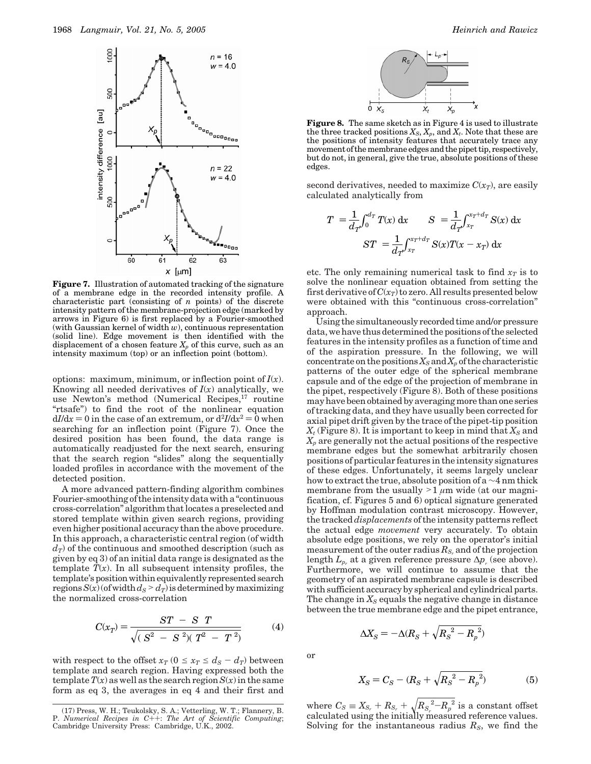

**Figure 7.** Illustration of automated tracking of the signature of a membrane edge in the recorded intensity profile. A characteristic part (consisting of *n* points) of the discrete intensity pattern of the membrane-projection edge (marked by arrows in Figure 6) is first replaced by a Fourier-smoothed (with Gaussian kernel of width *w*), continuous representation (solid line). Edge movement is then identified with the displacement of a chosen feature  $X_p$  of this curve, such as an intensity maximum (top) or an inflection point (bottom).

options: maximum, minimum, or inflection point of  $I(x)$ . Knowing all needed derivatives of *I*(*x*) analytically, we use Newton's method (Numerical Recipes,<sup>17</sup> routine "rtsafe") to find the root of the nonlinear equation  $dI/dx = 0$  in the case of an extremum, or  $d^2I/dx^2 = 0$  when searching for an inflection point (Figure 7). Once the desired position has been found, the data range is automatically readjusted for the next search, ensuring that the search region "slides" along the sequentially loaded profiles in accordance with the movement of the detected position.

A more advanced pattern-finding algorithm combines Fourier-smoothing of the intensity data with a "continuous cross-correlation" algorithm that locates a preselected and stored template within given search regions, providing even higher positional accuracy than the above procedure. In this approach, a characteristic central region (of width  $d_T$ ) of the continuous and smoothed description (such as given by eq 3) of an initial data range is designated as the template  $T(x)$ . In all subsequent intensity profiles, the template's position within equivalently represented search regions  $S(x)$  (of width  $d_S > d_T$ ) is determined by maximizing the normalized cross-correlation

$$
C(x_T) = \frac{\langle ST \rangle - \langle S \rangle \langle T \rangle}{\sqrt{(\langle S^2 \rangle - \langle S \rangle^2)(\langle T^2 \rangle - \langle T \rangle^2)}}
$$
(4)

with respect to the offset  $x_T$  ( $0 \le x_T \le d_S - d_T$ ) between template and search region. Having expressed both the template  $T(x)$  as well as the search region  $S(x)$  in the same form as eq 3, the averages in eq 4 and their first and



**Figure 8.** The same sketch as in Figure 4 is used to illustrate the three tracked positions  $X_s$ ,  $X_p$ , and  $X_t$ . Note that these are the positions of intensity features that accurately trace any movement of the membrane edges and the pipet tip, respectively, but do not, in general, give the true, absolute positions of these edges.

second derivatives, needed to maximize  $C(x_T)$ , are easily calculated analytically from

$$
\langle T \rangle = \frac{1}{d_T} \int_0^{d_T} T(x) \, \mathrm{d}x \qquad \langle S \rangle = \frac{1}{d_T} \int_{x_T}^{x_T + d_T} S(x) \, \mathrm{d}x
$$

$$
\langle ST \rangle = \frac{1}{d_T} \int_{x_T}^{x_T + d_T} S(x) T(x - x_T) \, \mathrm{d}x
$$

etc. The only remaining numerical task to find  $x_T$  is to solve the nonlinear equation obtained from setting the first derivative of  $C(x_T)$  to zero. All results presented below were obtained with this "continuous cross-correlation" approach.

Using the simultaneously recorded time and/or pressure data, we have thus determined the positions of the selected features in the intensity profiles as a function of time and of the aspiration pressure. In the following, we will concentrate on the positions  $X_S$  and  $X_p$  of the characteristic patterns of the outer edge of the spherical membrane capsule and of the edge of the projection of membrane in the pipet, respectively (Figure 8). Both of these positions may have been obtained by averaging more than one series of tracking data, and they have usually been corrected for axial pipet drift given by the trace of the pipet-tip position  $X_t$  (Figure 8). It is important to keep in mind that  $X_s$  and  $X_p$  are generally not the actual positions of the respective membrane edges but the somewhat arbitrarily chosen positions of particular features in the intensity signatures of these edges. Unfortunately, it seems largely unclear how to extract the true, absolute position of a  $\sim$ 4 nm thick membrane from the usually  $>1 \mu$ m wide (at our magnification, cf. Figures 5 and 6) optical signature generated by Hoffman modulation contrast microscopy. However, the tracked *displacements* of the intensity patterns reflect the actual edge *movement* very accurately. To obtain absolute edge positions, we rely on the operator's initial measurement of the outer radius  $R_{S_r}$  and of the projection length  $L_{p_r}$  at a given reference pressure  $\Delta p_r$  (see above). Furthermore, we will continue to assume that the geometry of an aspirated membrane capsule is described with sufficient accuracy by spherical and cylindrical parts. The change in  $X_S$  equals the negative change in distance between the true membrane edge and the pipet entrance,

$$
\Delta X_S = -\Delta (R_S + \sqrt{R_S^2 - R_p^2})
$$

or

$$
X_S = C_S - (R_S + \sqrt{R_S^2 - R_p^2})
$$
 (5)

where  $C_S = X_{S_r} + R_{S_r} + \sqrt{R_S}^2 - R_p^2$  is a constant offset calculated using the initially measured reference values calculated using the initially measured reference values. Solving for the instantaneous radius *RS*, we find the

<sup>(17)</sup> Press, W. H.; Teukolsky, S. A.; Vetterling, W. T.; Flannery, B. P. *Numerical Recipes in C*++: *The Art of Scientific Computing*; Cambridge University Press: Cambridge, U.K., 2002.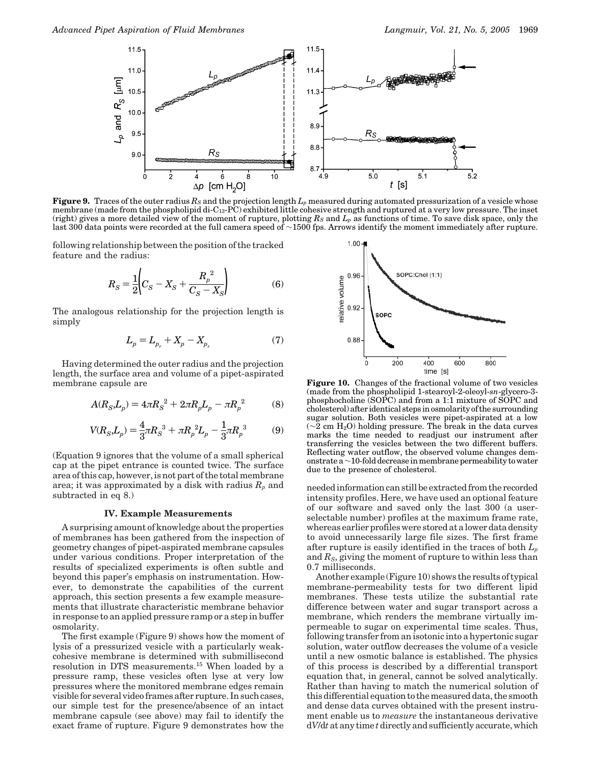

**Figure 9.** Traces of the outer radius  $R_S$  and the projection length  $L_p$  measured during automated pressurization of a vesicle whose membrane (made from the phospholipid di-C<sub>13</sub>-PC) exhibited little cohesive strength and ruptured at a very low pressure. The inset (right) gives a more detailed view of the moment of rupture, plotting  $R_S$  and  $L_p$  as functions of time. To save disk space, only the last 300 data points were recorded at the full camera speed of ∼1500 fps. Arrows identify the moment immediately after rupture.

following relationship between the position of the tracked feature and the radius:

$$
R_S = \frac{1}{2} \left( C_S - X_S + \frac{R_p^2}{C_S - X_S} \right) \tag{6}
$$

The analogous relationship for the projection length is simply

$$
L_p = L_{p_r} + X_p - X_{p_r}
$$
 (7)

Having determined the outer radius and the projection length, the surface area and volume of a pipet-aspirated membrane capsule are

$$
A(R_{S},L_{p}) = 4\pi R_{S}^{2} + 2\pi R_{p}L_{p} - \pi R_{p}^{2}
$$
 (8)

$$
V(R_S, L_p) = \frac{4}{3}\pi R_S^3 + \pi R_p^2 L_p - \frac{1}{3}\pi R_p^3 \tag{9}
$$

(Equation 9 ignores that the volume of a small spherical cap at the pipet entrance is counted twice. The surface area of this cap, however, is not part of the total membrane area; it was approximated by a disk with radius  $R_p$  and subtracted in eq 8.)

## **IV. Example Measurements**

A surprising amount of knowledge about the properties of membranes has been gathered from the inspection of geometry changes of pipet-aspirated membrane capsules under various conditions. Proper interpretation of the results of specialized experiments is often subtle and beyond this paper's emphasis on instrumentation. However, to demonstrate the capabilities of the current approach, this section presents a few example measurements that illustrate characteristic membrane behavior in response to an applied pressure ramp or a step in buffer osmolarity.

The first example (Figure 9) shows how the moment of lysis of a pressurized vesicle with a particularly weakcohesive membrane is determined with submillisecond resolution in DTS measurements.15 When loaded by a pressure ramp, these vesicles often lyse at very low pressures where the monitored membrane edges remain visible for several video frames after rupture. In such cases, our simple test for the presence/absence of an intact membrane capsule (see above) may fail to identify the exact frame of rupture. Figure 9 demonstrates how the



**Figure 10.** Changes of the fractional volume of two vesicles (made from the phospholipid 1-stearoyl-2-oleoyl-*sn*-glycero-3 phosphocholine (SOPC) and from a 1:1 mixture of SOPC and cholesterol) after identical steps in osmolarity of the surrounding sugar solution. Both vesicles were pipet-aspirated at a low  $\sim$  2 cm H<sub>2</sub>O) holding pressure. The break in the data curves marks the time needed to readjust our instrument after transferring the vesicles between the two different buffers. Reflecting water outflow, the observed volume changes demonstrate a∼10-fold decrease in membrane permeability to water due to the presence of cholesterol.

needed information can still be extracted from the recorded intensity profiles. Here, we have used an optional feature of our software and saved only the last 300 (a userselectable number) profiles at the maximum frame rate, whereas earlier profiles were stored at a lower data density to avoid unnecessarily large file sizes. The first frame after rupture is easily identified in the traces of both *Lp* and *RS*, giving the moment of rupture to within less than 0.7 milliseconds.

Another example (Figure 10) shows the results of typical membrane-permeability tests for two different lipid membranes. These tests utilize the substantial rate difference between water and sugar transport across a membrane, which renders the membrane virtually impermeable to sugar on experimental time scales. Thus, following transfer from an isotonic into a hypertonic sugar solution, water outflow decreases the volume of a vesicle until a new osmotic balance is established. The physics of this process is described by a differential transport equation that, in general, cannot be solved analytically. Rather than having to match the numerical solution of this differential equation to the measured data, the smooth and dense data curves obtained with the present instrument enable us to *measure* the instantaneous derivative d*V*/d*t* at any time *t* directly and sufficiently accurate, which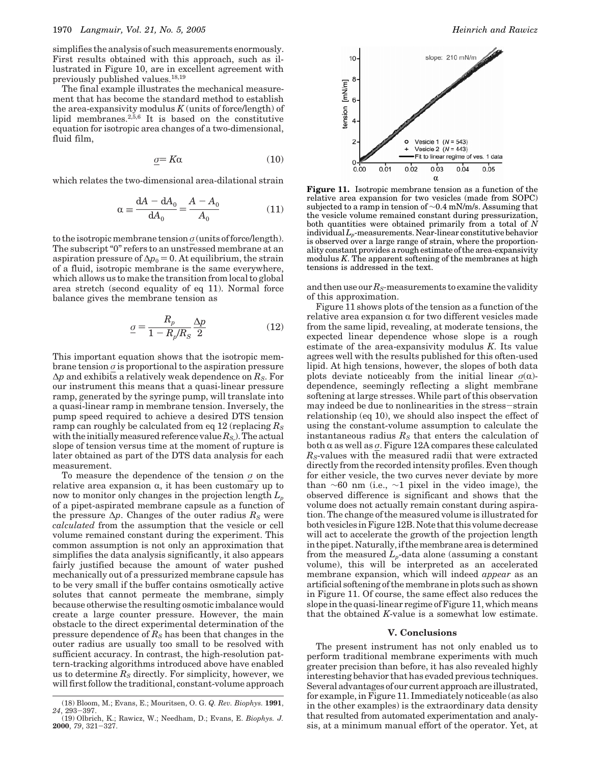simplifies the analysis of such measurements enormously. First results obtained with this approach, such as illustrated in Figure 10, are in excellent agreement with previously published values.18,19

The final example illustrates the mechanical measurement that has become the standard method to establish the area-expansivity modulus *K* (units of force/length) of lipid membranes.2,5,6 It is based on the constitutive equation for isotropic area changes of a two-dimensional, fluid film,

$$
\underline{\sigma} = K\alpha \tag{10}
$$

which relates the two-dimensional area-dilational strain

$$
\alpha \equiv \frac{\mathrm{d}A - \mathrm{d}A_0}{\mathrm{d}A_0} = \frac{A - A_0}{A_0} \tag{11}
$$

to the isotropic membrane tension  $\sigma$  (units of force/length). The subscript "0" refers to an unstressed membrane at an aspiration pressure of  $\Delta p_0 = 0$ . At equilibrium, the strain of a fluid, isotropic membrane is the same everywhere, which allows us to make the transition from local to global area stretch (second equality of eq 11). Normal force balance gives the membrane tension as

$$
\underline{\sigma} = \frac{R_p}{1 - R_p/R_S} \frac{\Delta p}{2} \tag{12}
$$

This important equation shows that the isotropic membrane tension  $\sigma$  is proportional to the aspiration pressure ∆*p* and exhibits a relatively weak dependence on *RS*. For our instrument this means that a quasi-linear pressure ramp, generated by the syringe pump, will translate into a quasi-linear ramp in membrane tension. Inversely, the pump speed required to achieve a desired DTS tension ramp can roughly be calculated from eq 12 (replacing *RS* with the initially measured reference value  $R_{S_r}$  ). The actual slope of tension versus time at the moment of rupture is later obtained as part of the DTS data analysis for each measurement.

To measure the dependence of the tension *σ* on the relative area expansion  $\alpha$ , it has been customary up to now to monitor only changes in the projection length  $L_p$ of a pipet-aspirated membrane capsule as a function of the pressure  $\Delta p$ . Changes of the outer radius  $R<sub>S</sub>$  were *calculated* from the assumption that the vesicle or cell volume remained constant during the experiment. This common assumption is not only an approximation that simplifies the data analysis significantly, it also appears fairly justified because the amount of water pushed mechanically out of a pressurized membrane capsule has to be very small if the buffer contains osmotically active solutes that cannot permeate the membrane, simply because otherwise the resulting osmotic imbalance would create a large counter pressure. However, the main obstacle to the direct experimental determination of the pressure dependence of *RS* has been that changes in the outer radius are usually too small to be resolved with sufficient accuracy. In contrast, the high-resolution pattern-tracking algorithms introduced above have enabled us to determine *RS* directly. For simplicity, however, we will first follow the traditional, constant-volume approach



**Figure 11.** Isotropic membrane tension as a function of the relative area expansion for two vesicles (made from SOPC) subjected to a ramp in tension of ∼0.4 mN/m/s. Assuming that the vesicle volume remained constant during pressurization, both quantities were obtained primarily from a total of *N* individual*Lp*-measurements. Near-linear constitutive behavior is observed over a large range of strain, where the proportionality constant provides a rough estimate of the area-expansivity modulus *K*. The apparent softening of the membranes at high tensions is addressed in the text.

and then use our  $R_S$ -measurements to examine the validity of this approximation.

Figure 11 shows plots of the tension as a function of the  $relative area expansion \alpha$  for two different vesicles made from the same lipid, revealing, at moderate tensions, the expected linear dependence whose slope is a rough estimate of the area-expansivity modulus *K*. Its value agrees well with the results published for this often-used lipid. At high tensions, however, the slopes of both data plots deviate noticeably from the initial linear  $\sigma(\alpha)$ dependence, seemingly reflecting a slight membrane softening at large stresses. While part of this observation may indeed be due to nonlinearities in the stress-strain relationship (eq 10), we should also inspect the effect of using the constant-volume assumption to calculate the instantaneous radius  $R<sub>S</sub>$  that enters the calculation of both  $\alpha$  as well as  $\sigma$ . Figure 12A compares these calculated *RS*-values with the measured radii that were extracted directly from the recorded intensity profiles. Even though for either vesicle, the two curves never deviate by more than  $\sim 60$  nm (i.e.,  $\sim 1$  pixel in the video image), the observed difference is significant and shows that the volume does not actually remain constant during aspiration. The change of the measured volume is illustrated for both vesicles in Figure 12B. Note that this volume decrease will act to accelerate the growth of the projection length in the pipet. Naturally, if the membrane area is determined from the measured  $L_p$ -data alone (assuming a constant volume), this will be interpreted as an accelerated membrane expansion, which will indeed *appear* as an artificial softening of the membrane in plots such as shown in Figure 11. Of course, the same effect also reduces the slope in the quasi-linear regime of Figure 11, which means that the obtained *K*-value is a somewhat low estimate.

#### **V. Conclusions**

The present instrument has not only enabled us to perform traditional membrane experiments with much greater precision than before, it has also revealed highly interesting behavior that has evaded previous techniques. Several advantages of our current approach are illustrated, for example, in Figure 11. Immediately noticeable (as also in the other examples) is the extraordinary data density that resulted from automated experimentation and analysis, at a minimum manual effort of the operator. Yet, at

<sup>(18)</sup> Bloom, M.; Evans, E.; Mouritsen, O. G. *Q. Rev. Biophys.* **1991**,

*<sup>24</sup>*, 293-397. (19) Olbrich, K.; Rawicz, W.; Needham, D.; Evans, E. *Biophys. J.* **<sup>2000</sup>**, *<sup>79</sup>*, 321-327.